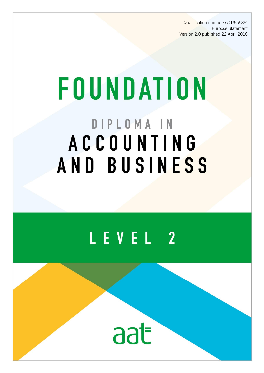Qualification number: 601/6553/4 Purpose Statement Version 2.0 published 22 April 2016

# **FOUNDATION** DIPLOMA IN **ACCOUNTING** AND BUSINESS

## LEVEL 2

aat

AAT is a registered charity. No. 1050724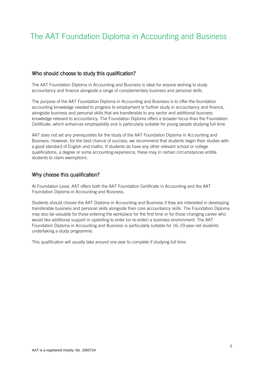### The AAT Foundation Diploma in Accounting and Business

#### Who should choose to study this qualification?

The AAT Foundation Diploma in Accounting and Business is ideal for anyone wishing to study accountancy and finance alongside a range of complementary business and personal skills.

The purpose of the AAT Foundation Diploma in Accounting and Business is to offer the foundation accounting knowledge needed to progress to employment or further study in accountancy and finance, alongside business and personal skills that are transferable to any sector and additional business knowledge relevant to accountancy. The Foundation Diploma offers a broader focus than the Foundation Certificate, which enhances employability and is particularly suitable for young people studying full time.

AAT does not set any prerequisites for the study of the AAT Foundation Diploma in Accounting and Business. However, for the best chance of success, we recommend that students begin their studies with a good standard of English and maths. If students do have any other relevant school or college qualifications, a degree or some accounting experience, these may in certain circumstances entitle students to claim exemptions.

#### Why choose this qualification?

At Foundation Level, AAT offers both the AAT Foundation Certificate in Accounting and the AAT Foundation Diploma in Accounting and Business.

Students should choose the AAT Diploma in Accounting and Business if they are interested in developing transferable business and personal skills alongside their core accountancy skills. The Foundation Diploma may also be valuable for those entering the workplace for the first time or for those changing career who would like additional support in upskilling to enter (or re-enter) a business environment. The AAT Foundation Diploma in Accounting and Business is particularly suitable for 16–19-year-old students undertaking a study programme.

This qualification will usually take around one year to complete if studying full time.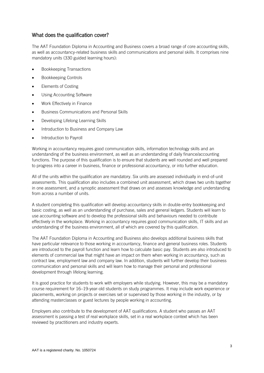#### What does the qualification cover?

The AAT Foundation Diploma in Accounting and Business covers a broad range of core accounting skills, as well as accountancy-related business skills and communications and personal skills. It comprises nine mandatory units (330 guided learning hours):

- Bookkeeping Transactions
- Bookkeeping Controls
- Elements of Costing
- Using Accounting Software
- Work Effectively in Finance
- Business Communications and Personal Skills
- Developing Lifelong Learning Skills
- Introduction to Business and Company Law
- Introduction to Payroll

Working in accountancy requires good communication skills, information technology skills and an understanding of the business environment, as well as an understanding of daily finance/accounting functions. The purpose of this qualification is to ensure that students are well rounded and well prepared to progress into a career in business, finance or professional accountancy, or into further education.

All of the units within the qualification are mandatory. Six units are assessed individually in end-of-unit assessments. This qualification also includes a combined unit assessment, which draws two units together in one assessment, and a synoptic assessment that draws on and assesses knowledge and understanding from across a number of units.

A student completing this qualification will develop accountancy skills in double-entry bookkeeping and basic costing, as well as an understanding of purchase, sales and general ledgers. Students will learn to use accounting software and to develop the professional skills and behaviours needed to contribute effectively in the workplace. Working in accountancy requires good communication skills, IT skills and an understanding of the business environment, all of which are covered by this qualification.

The AAT Foundation Diploma in Accounting and Business also develops additional business skills that have particular relevance to those working in accountancy, finance and general business roles. Students are introduced to the payroll function and learn how to calculate basic pay. Students are also introduced to elements of commercial law that might have an impact on them when working in accountancy, such as contract law, employment law and company law. In addition, students will further develop their business communication and personal skills and will learn how to manage their personal and professional development through lifelong learning.

It is good practice for students to work with employers while studying. However, this may be a mandatory course requirement for 16–19-year-old students on study programmes. It may include work experience or placements, working on projects or exercises set or supervised by those working in the industry, or by attending masterclasses or guest lectures by people working in accounting.

Employers also contribute to the development of AAT qualifications. A student who passes an AAT assessment is passing a test of real workplace skills, set in a real workplace context which has been reviewed by practitioners and industry experts.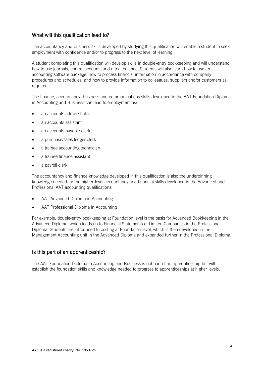#### What will this qualification lead to?

The accountancy and business skills developed by studying this qualification will enable a student to seek employment with confidence and/or to progress to the next level of learning.

A student completing this qualification will develop skills in double-entry bookkeeping and will understand how to use journals, control accounts and a trial balance. Students will also learn how to use an accounting software package, how to process financial information in accordance with company procedures and schedules, and how to provide information to colleagues, suppliers and/or customers as required.

The finance, accountancy, business and communications skills developed in the AAT Foundation Diploma in Accounting and Business can lead to employment as:

- an accounts administrator
- an accounts assistant
- an accounts payable clerk
- a purchase/sales ledger clerk
- a trainee accounting technician
- a trainee finance assistant
- a payroll clerk

The accountancy and finance knowledge developed in this qualification is also the underpinning knowledge needed for the higher-level accountancy and financial skills developed in the Advanced and Professional AAT accounting qualifications:

- AAT Advanced Diploma in Accounting
- AAT Professional Diploma in Accounting

For example, double-entry bookkeeping at Foundation level is the basis for Advanced Bookkeeping in the Advanced Diploma; which leads on to Financial Statements of Limited Companies in the Professional Diploma. Students are introduced to costing at Foundation level, which is then developed in the Management Accounting unit in the Advanced Diploma and expanded further in the Professional Diploma.

#### Is this part of an apprenticeship?

The AAT Foundation Diploma in Accounting and Business is not part of an apprenticeship but will establish the foundation skills and knowledge needed to progress to apprenticeships at higher levels.